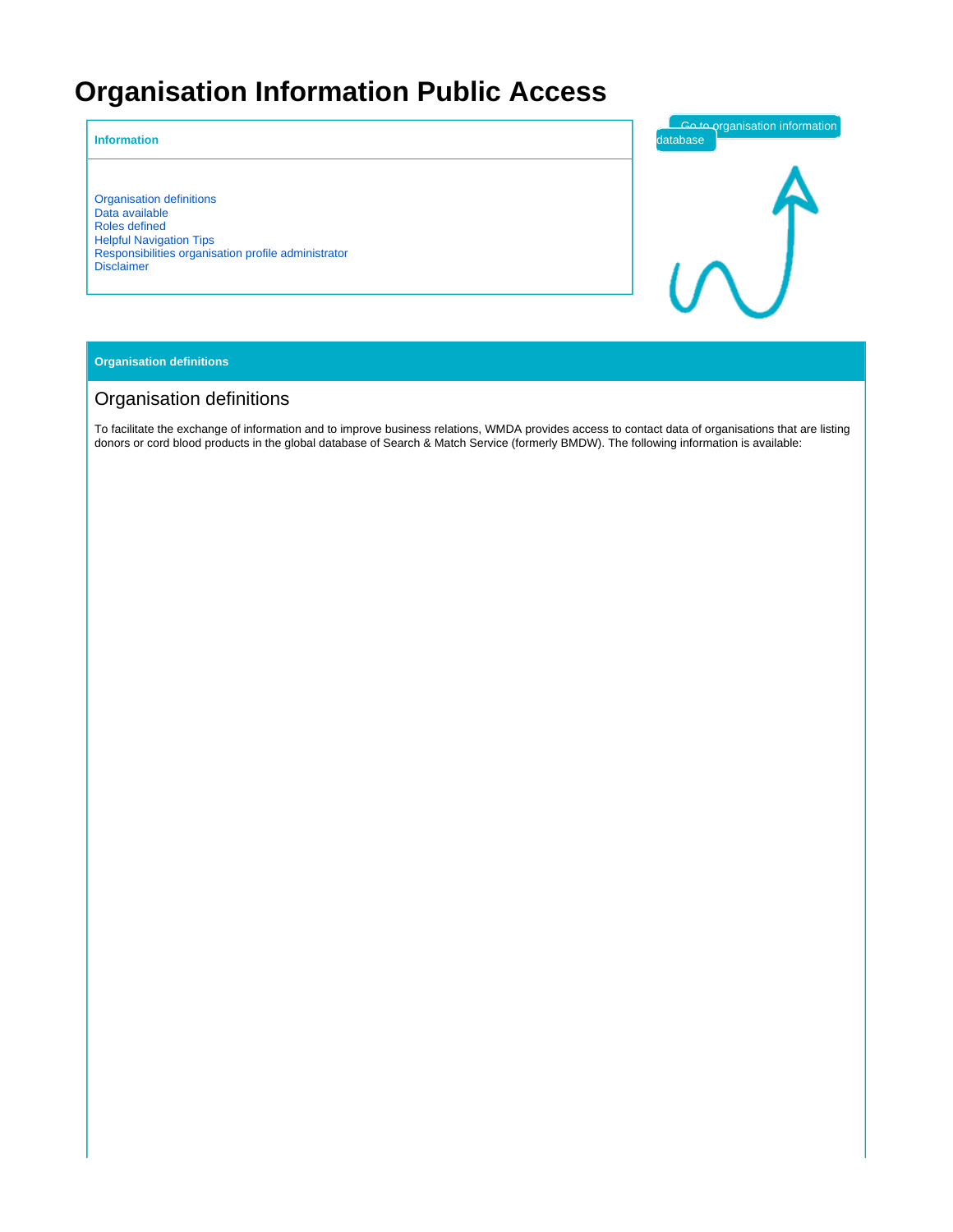# **Organisation Information Public Access**

#### **Information**

[Organisation definitions](#page-0-0) [Data available](#page-1-0) [Roles defined](#page-2-0) [Helpful Navigation Tips](#page-3-0) [Responsibilities organisation profile administrator](#page-3-1) [Disclaimer](#page-3-2)



#### **Organisation definitions**

# <span id="page-0-0"></span>Organisation definitions

To facilitate the exchange of information and to improve business relations, WMDA provides access to contact data of organisations that are listing donors or cord blood products in the global database of Search & Match Service (formerly BMDW). The following information is available: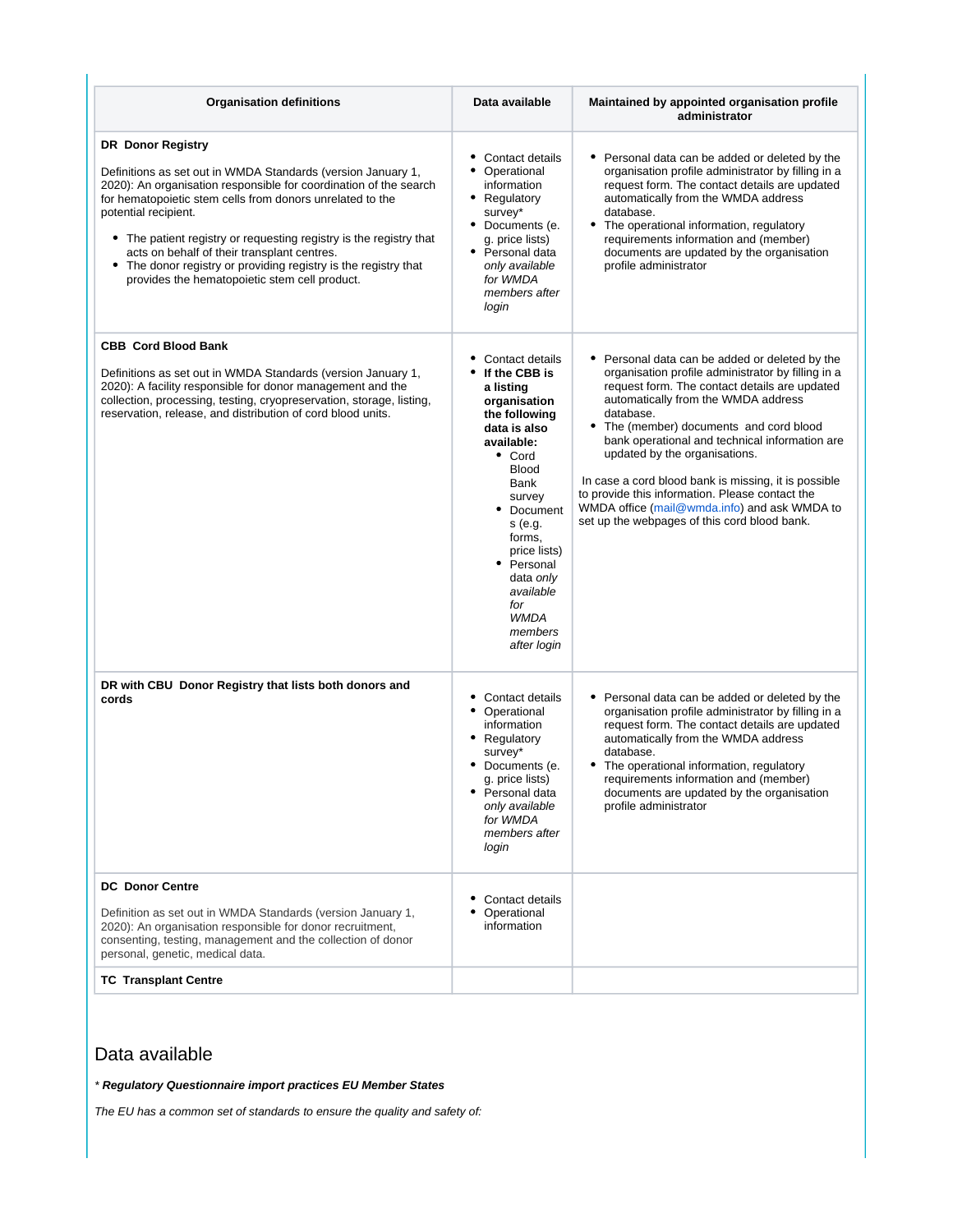| <b>Organisation definitions</b>                                                                                                                                                                                                                                                                                                                                                                                                                                                         | Data available                                                                                                                                                                                                                                                                                         | Maintained by appointed organisation profile<br>administrator                                                                                                                                                                                                                                                                                                                                                                                                                                                                                  |
|-----------------------------------------------------------------------------------------------------------------------------------------------------------------------------------------------------------------------------------------------------------------------------------------------------------------------------------------------------------------------------------------------------------------------------------------------------------------------------------------|--------------------------------------------------------------------------------------------------------------------------------------------------------------------------------------------------------------------------------------------------------------------------------------------------------|------------------------------------------------------------------------------------------------------------------------------------------------------------------------------------------------------------------------------------------------------------------------------------------------------------------------------------------------------------------------------------------------------------------------------------------------------------------------------------------------------------------------------------------------|
| <b>DR</b> Donor Registry<br>Definitions as set out in WMDA Standards (version January 1,<br>2020): An organisation responsible for coordination of the search<br>for hematopoietic stem cells from donors unrelated to the<br>potential recipient.<br>The patient registry or requesting registry is the registry that<br>acts on behalf of their transplant centres.<br>The donor registry or providing registry is the registry that<br>provides the hematopoietic stem cell product. | Contact details<br>• Operational<br>information<br>• Regulatory<br>survey*<br>• Documents (e.<br>g. price lists)<br>• Personal data<br>only available<br>for WMDA<br>members after<br>login                                                                                                            | • Personal data can be added or deleted by the<br>organisation profile administrator by filling in a<br>request form. The contact details are updated<br>automatically from the WMDA address<br>database.<br>The operational information, regulatory<br>٠<br>requirements information and (member)<br>documents are updated by the organisation<br>profile administrator                                                                                                                                                                       |
| <b>CBB Cord Blood Bank</b><br>Definitions as set out in WMDA Standards (version January 1,<br>2020): A facility responsible for donor management and the<br>collection, processing, testing, cryopreservation, storage, listing,<br>reservation, release, and distribution of cord blood units.                                                                                                                                                                                         | Contact details<br>If the CBB is<br>a listing<br>organisation<br>the following<br>data is also<br>available:<br>• Cord<br><b>Blood</b><br>Bank<br>survey<br>Document<br>٠<br>s (e.g.<br>forms.<br>price lists)<br>• Personal<br>data only<br>available<br>for<br><b>WMDA</b><br>members<br>after login | Personal data can be added or deleted by the<br>organisation profile administrator by filling in a<br>request form. The contact details are updated<br>automatically from the WMDA address<br>database.<br>The (member) documents and cord blood<br>bank operational and technical information are<br>updated by the organisations.<br>In case a cord blood bank is missing, it is possible<br>to provide this information. Please contact the<br>WMDA office (mail@wmda.info) and ask WMDA to<br>set up the webpages of this cord blood bank. |
| DR with CBU Donor Registry that lists both donors and<br>cords                                                                                                                                                                                                                                                                                                                                                                                                                          | Contact details<br>• Operational<br>information<br>• Regulatory<br>survey*<br>Documents (e.<br>g. price lists)<br>• Personal data<br>only available<br>for WMDA<br>members after<br>login                                                                                                              | • Personal data can be added or deleted by the<br>organisation profile administrator by filling in a<br>request form. The contact details are updated<br>automatically from the WMDA address<br>database.<br>The operational information, regulatory<br>requirements information and (member)<br>documents are updated by the organisation<br>profile administrator                                                                                                                                                                            |
| <b>DC</b> Donor Centre                                                                                                                                                                                                                                                                                                                                                                                                                                                                  | Contact details                                                                                                                                                                                                                                                                                        |                                                                                                                                                                                                                                                                                                                                                                                                                                                                                                                                                |
| Definition as set out in WMDA Standards (version January 1,<br>2020): An organisation responsible for donor recruitment,<br>consenting, testing, management and the collection of donor<br>personal, genetic, medical data.                                                                                                                                                                                                                                                             | Operational<br>information                                                                                                                                                                                                                                                                             |                                                                                                                                                                                                                                                                                                                                                                                                                                                                                                                                                |
| <b>TC Transplant Centre</b>                                                                                                                                                                                                                                                                                                                                                                                                                                                             |                                                                                                                                                                                                                                                                                                        |                                                                                                                                                                                                                                                                                                                                                                                                                                                                                                                                                |

# <span id="page-1-0"></span>Data available

\* **Regulatory Questionnaire import practices EU Member States**

The EU has a common set of standards to ensure the quality and safety of: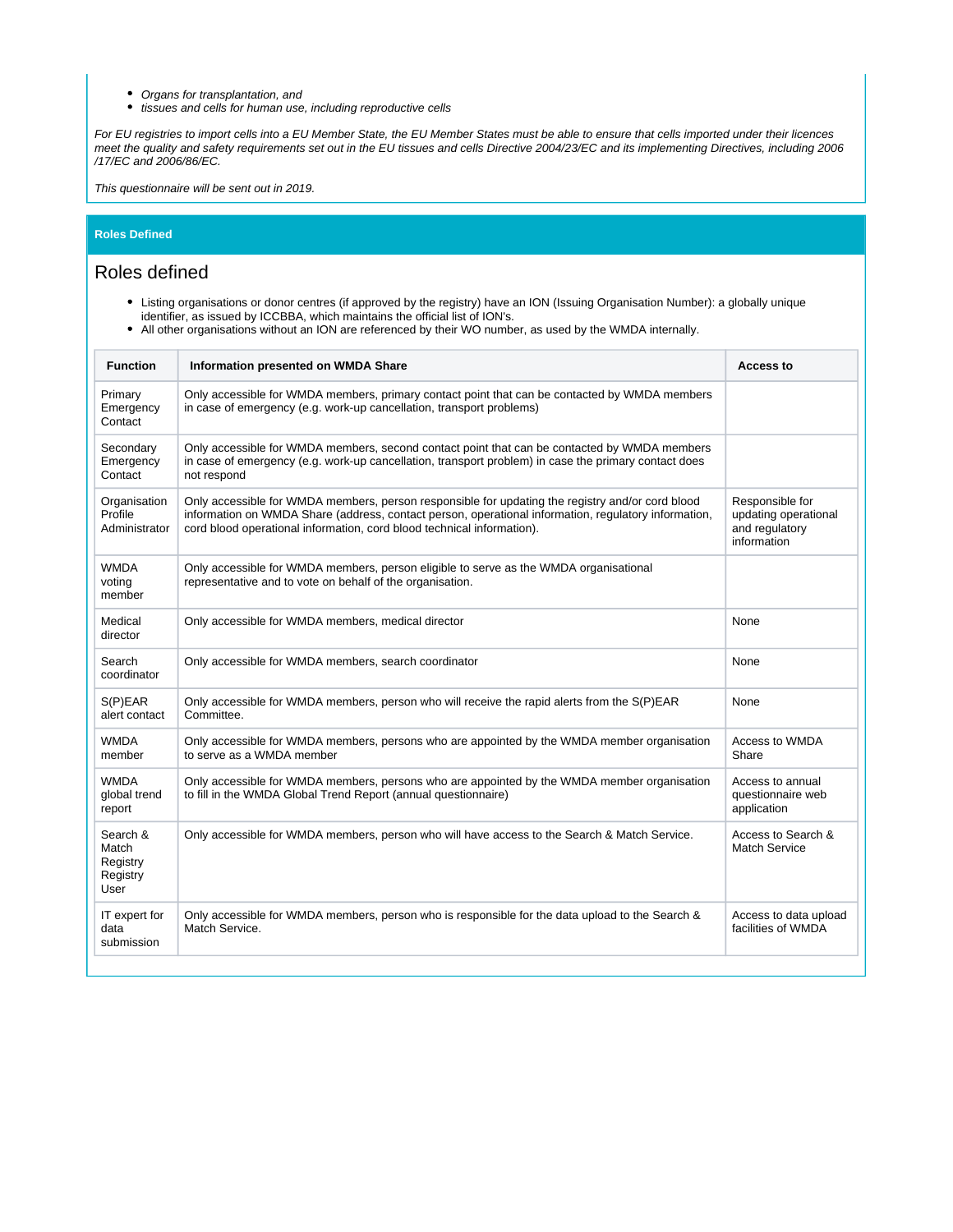- Organs for transplantation, and
- $\bullet$ tissues and cells for human use, including reproductive cells

For EU registries to import cells into a EU Member State, the EU Member States must be able to ensure that cells imported under their licences meet the quality and safety requirements set out in the EU tissues and cells Directive 2004/23/EC and its implementing Directives, including 2006 /17/EC and 2006/86/EC.

This questionnaire will be sent out in 2019.

#### **Roles Defined**

#### <span id="page-2-0"></span>Roles defined

- Listing organisations or donor centres (if approved by the registry) have an ION (Issuing Organisation Number): a globally unique identifier, as issued by ICCBBA, which maintains the official list of ION's.
- All other organisations without an ION are referenced by their WO number, as used by the WMDA internally.

| <b>Function</b>                                   | Information presented on WMDA Share                                                                                                                                                                                                                                                | <b>Access to</b>                                                         |
|---------------------------------------------------|------------------------------------------------------------------------------------------------------------------------------------------------------------------------------------------------------------------------------------------------------------------------------------|--------------------------------------------------------------------------|
| Primary<br>Emergency<br>Contact                   | Only accessible for WMDA members, primary contact point that can be contacted by WMDA members<br>in case of emergency (e.g. work-up cancellation, transport problems)                                                                                                              |                                                                          |
| Secondary<br>Emergency<br>Contact                 | Only accessible for WMDA members, second contact point that can be contacted by WMDA members<br>in case of emergency (e.g. work-up cancellation, transport problem) in case the primary contact does<br>not respond                                                                |                                                                          |
| Organisation<br>Profile<br>Administrator          | Only accessible for WMDA members, person responsible for updating the registry and/or cord blood<br>information on WMDA Share (address, contact person, operational information, regulatory information,<br>cord blood operational information, cord blood technical information). | Responsible for<br>updating operational<br>and regulatory<br>information |
| <b>WMDA</b><br>voting<br>member                   | Only accessible for WMDA members, person eligible to serve as the WMDA organisational<br>representative and to vote on behalf of the organisation.                                                                                                                                 |                                                                          |
| Medical<br>director                               | Only accessible for WMDA members, medical director                                                                                                                                                                                                                                 | None                                                                     |
| Search<br>coordinator                             | Only accessible for WMDA members, search coordinator                                                                                                                                                                                                                               | None                                                                     |
| S(P)EAR<br>alert contact                          | Only accessible for WMDA members, person who will receive the rapid alerts from the S(P)EAR<br>Committee.                                                                                                                                                                          | None                                                                     |
| <b>WMDA</b><br>member                             | Only accessible for WMDA members, persons who are appointed by the WMDA member organisation<br>to serve as a WMDA member                                                                                                                                                           | Access to WMDA<br>Share                                                  |
| <b>WMDA</b><br>global trend<br>report             | Only accessible for WMDA members, persons who are appointed by the WMDA member organisation<br>to fill in the WMDA Global Trend Report (annual questionnaire)                                                                                                                      | Access to annual<br>questionnaire web<br>application                     |
| Search &<br>Match<br>Registry<br>Registry<br>User | Only accessible for WMDA members, person who will have access to the Search & Match Service.                                                                                                                                                                                       | Access to Search &<br><b>Match Service</b>                               |
| IT expert for<br>data<br>submission               | Only accessible for WMDA members, person who is responsible for the data upload to the Search &<br>Match Service.                                                                                                                                                                  | Access to data upload<br>facilities of WMDA                              |